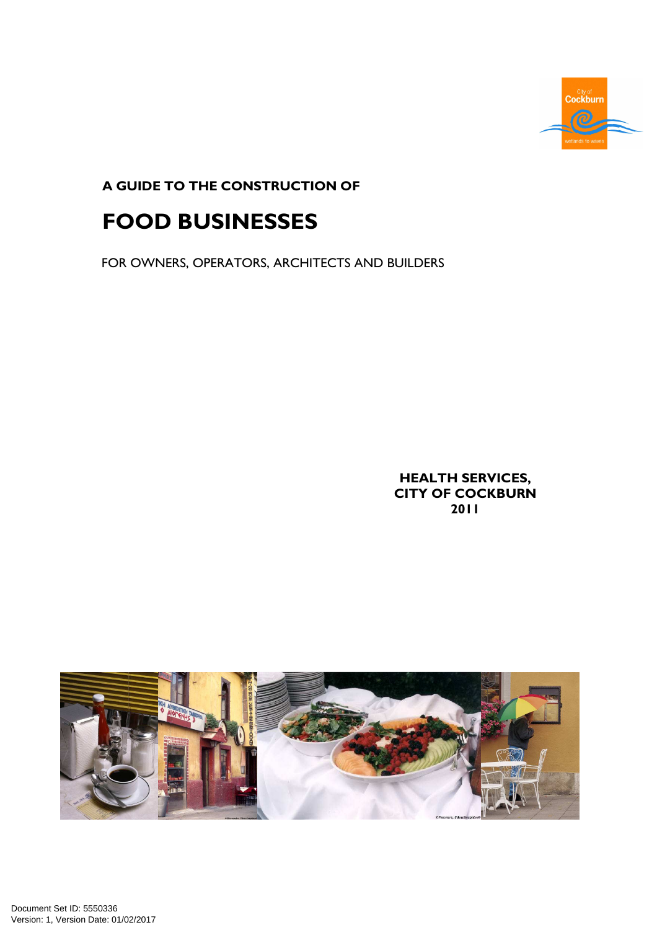

A GUIDE TO THE CONSTRUCTION OF

# FOOD BUSINESSES

FOR OWNERS, OPERATORS, ARCHITECTS AND BUILDERS

HEALTH SERVICES, CITY OF COCKBURN 2011

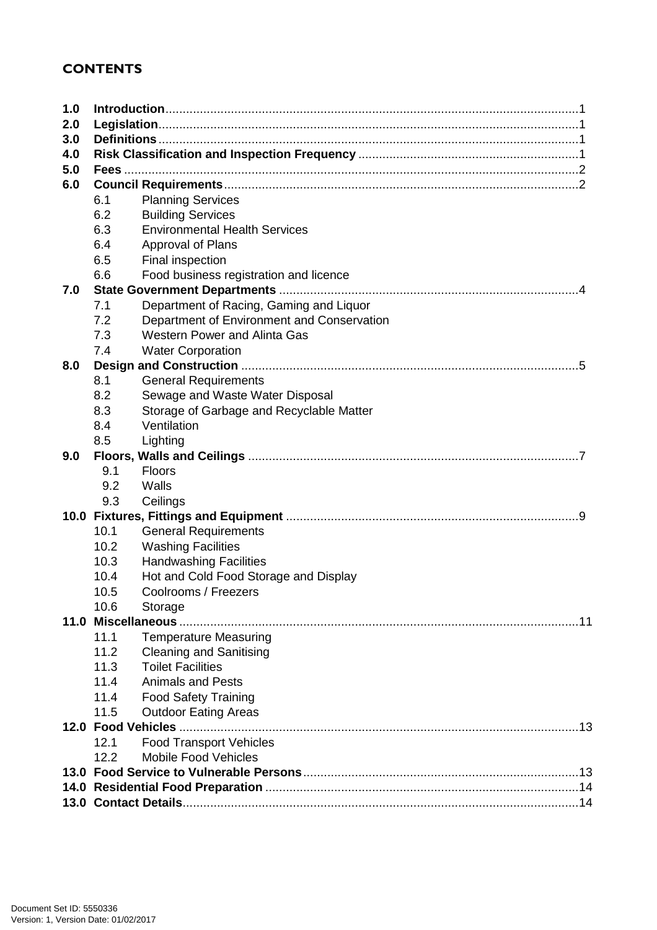### **CONTENTS**

| 1.0 |      |                                            |  |
|-----|------|--------------------------------------------|--|
| 2.0 |      |                                            |  |
| 3.0 |      |                                            |  |
| 4.0 |      |                                            |  |
| 5.0 |      |                                            |  |
| 6.0 |      |                                            |  |
|     | 6.1  | <b>Planning Services</b>                   |  |
|     | 6.2  | <b>Building Services</b>                   |  |
|     | 6.3  | <b>Environmental Health Services</b>       |  |
|     | 6.4  | Approval of Plans                          |  |
|     | 6.5  | Final inspection                           |  |
|     | 6.6  | Food business registration and licence     |  |
| 7.0 |      |                                            |  |
|     | 7.1  | Department of Racing, Gaming and Liquor    |  |
|     | 7.2  | Department of Environment and Conservation |  |
|     | 7.3  | Western Power and Alinta Gas               |  |
|     | 7.4  | <b>Water Corporation</b>                   |  |
| 8.0 |      |                                            |  |
|     | 8.1  | <b>General Requirements</b>                |  |
|     | 8.2  | Sewage and Waste Water Disposal            |  |
|     | 8.3  | Storage of Garbage and Recyclable Matter   |  |
|     | 8.4  | Ventilation                                |  |
|     | 8.5  | Lighting                                   |  |
| 9.0 |      |                                            |  |
|     | 9.1  | <b>Floors</b>                              |  |
|     | 9.2  | Walls                                      |  |
|     | 9.3  | Ceilings                                   |  |
|     |      |                                            |  |
|     | 10.1 | <b>General Requirements</b>                |  |
|     | 10.2 | <b>Washing Facilities</b>                  |  |
|     | 10.3 | <b>Handwashing Facilities</b>              |  |
|     | 10.4 | Hot and Cold Food Storage and Display      |  |
|     | 10.5 | Coolrooms / Freezers                       |  |
|     | 10.6 | Storage                                    |  |
|     |      |                                            |  |
|     | 11.1 | <b>Temperature Measuring</b>               |  |
|     | 11.2 | <b>Cleaning and Sanitising</b>             |  |
|     | 11.3 | <b>Toilet Facilities</b>                   |  |
|     | 11.4 | <b>Animals and Pests</b>                   |  |
|     | 11.4 | <b>Food Safety Training</b>                |  |
|     | 11.5 | <b>Outdoor Eating Areas</b>                |  |
|     |      |                                            |  |
|     | 12.1 | <b>Food Transport Vehicles</b>             |  |
|     | 12.2 | <b>Mobile Food Vehicles</b>                |  |
|     |      |                                            |  |
|     |      |                                            |  |
|     |      |                                            |  |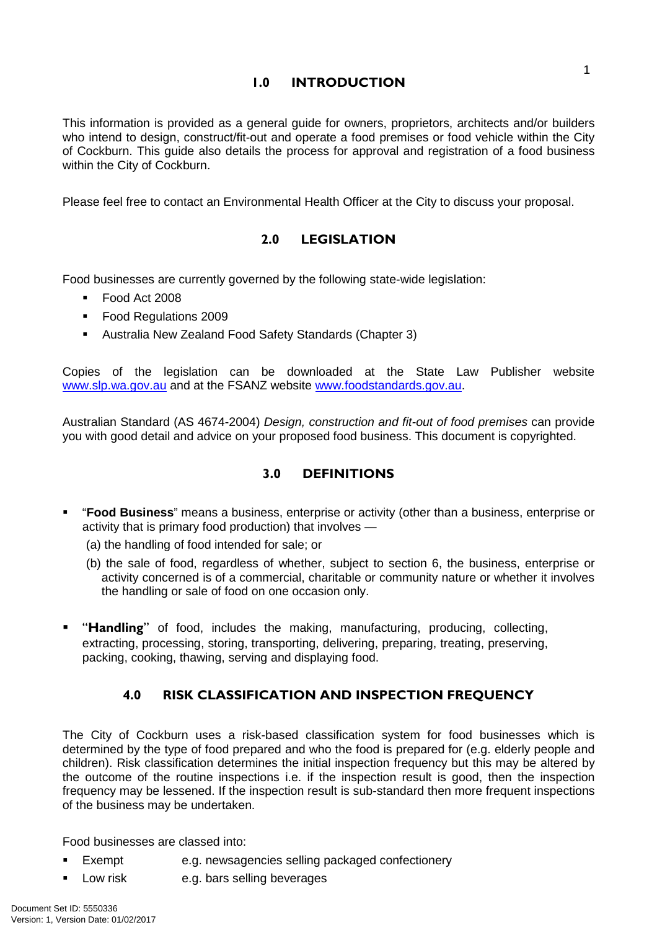### 1 1.0 INTRODUCTION

This information is provided as a general guide for owners, proprietors, architects and/or builders who intend to design, construct/fit-out and operate a food premises or food vehicle within the City of Cockburn. This guide also details the process for approval and registration of a food business within the City of Cockburn.

Please feel free to contact an Environmental Health Officer at the City to discuss your proposal.

### 2.0 LEGISLATION

Food businesses are currently governed by the following state-wide legislation:

- Food Act 2008
- Food Regulations 2009
- Australia New Zealand Food Safety Standards (Chapter 3)

Copies of the legislation can be downloaded at the State Law Publisher website www.slp.wa.gov.au and at the FSANZ website www.foodstandards.gov.au.

Australian Standard (AS 4674-2004) Design, construction and fit-out of food premises can provide you with good detail and advice on your proposed food business. This document is copyrighted.

### 3.0 DEFINITIONS

- "**Food Business**" means a business, enterprise or activity (other than a business, enterprise or activity that is primary food production) that involves —
	- (a) the handling of food intended for sale; or
	- (b) the sale of food, regardless of whether, subject to section 6, the business, enterprise or activity concerned is of a commercial, charitable or community nature or whether it involves the handling or sale of food on one occasion only.
- "Handling" of food, includes the making, manufacturing, producing, collecting, extracting, processing, storing, transporting, delivering, preparing, treating, preserving, packing, cooking, thawing, serving and displaying food.

### 4.0 RISK CLASSIFICATION AND INSPECTION FREQUENCY

The City of Cockburn uses a risk-based classification system for food businesses which is determined by the type of food prepared and who the food is prepared for (e.g. elderly people and children). Risk classification determines the initial inspection frequency but this may be altered by the outcome of the routine inspections i.e. if the inspection result is good, then the inspection frequency may be lessened. If the inspection result is sub-standard then more frequent inspections of the business may be undertaken.

Food businesses are classed into:

- Exempt e.g. newsagencies selling packaged confectionery
- **Low risk e.g. bars selling beverages**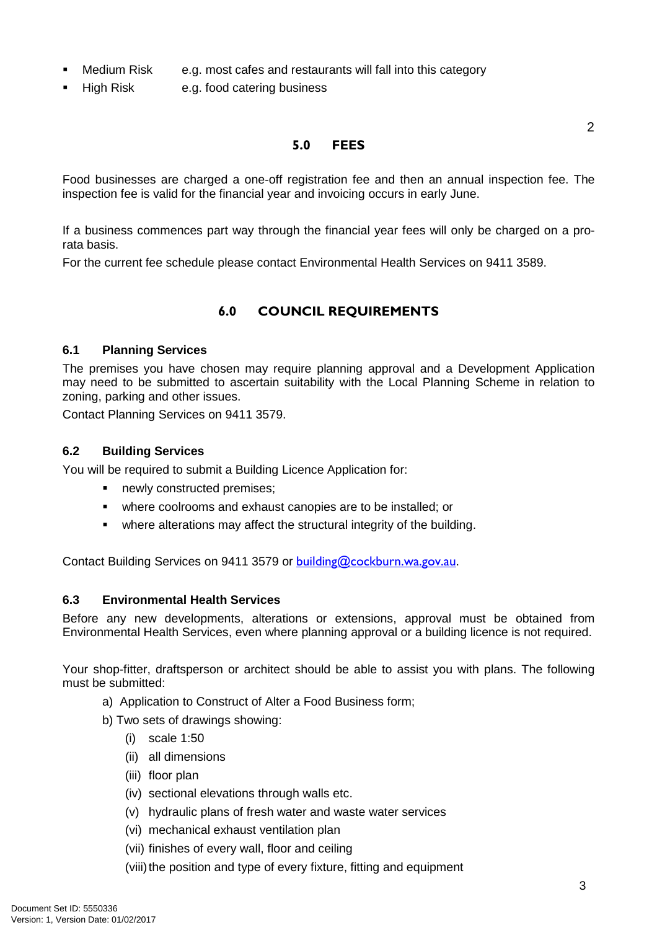- Medium Risk e.g. most cafes and restaurants will fall into this category
- High Risk e.g. food catering business

### 5.0 FEES

Food businesses are charged a one-off registration fee and then an annual inspection fee. The inspection fee is valid for the financial year and invoicing occurs in early June.

If a business commences part way through the financial year fees will only be charged on a prorata basis.

For the current fee schedule please contact Environmental Health Services on 9411 3589.

## 6.0 COUNCIL REQUIREMENTS

### **6.1 Planning Services**

The premises you have chosen may require planning approval and a Development Application may need to be submitted to ascertain suitability with the Local Planning Scheme in relation to zoning, parking and other issues.

Contact Planning Services on 9411 3579.

### **6.2 Building Services**

You will be required to submit a Building Licence Application for:

- newly constructed premises;
- where coolrooms and exhaust canopies are to be installed; or
- where alterations may affect the structural integrity of the building.

Contact Building Services on 9411 3579 or building@cockburn.wa.gov.au.

### **6.3 Environmental Health Services**

Before any new developments, alterations or extensions, approval must be obtained from Environmental Health Services, even where planning approval or a building licence is not required.

Your shop-fitter, draftsperson or architect should be able to assist you with plans. The following must be submitted:

- a) Application to Construct of Alter a Food Business form;
- b) Two sets of drawings showing:
	- (i) scale 1:50
	- (ii) all dimensions
	- (iii) floor plan
	- (iv) sectional elevations through walls etc.
	- (v) hydraulic plans of fresh water and waste water services
	- (vi) mechanical exhaust ventilation plan
	- (vii) finishes of every wall, floor and ceiling
	- (viii) the position and type of every fixture, fitting and equipment

 $\mathfrak{D}$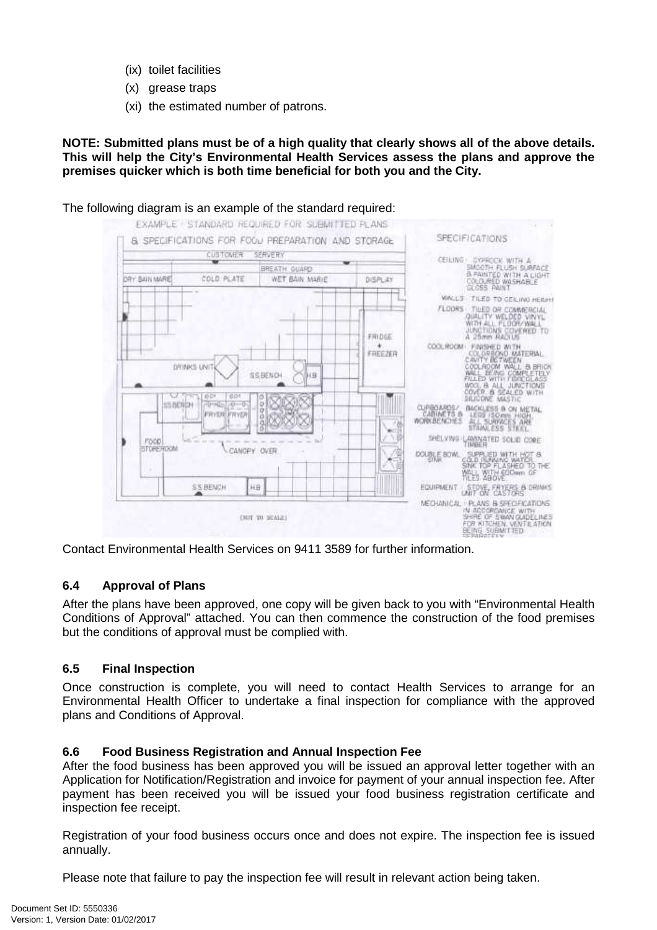- (ix) toilet facilities
- (x) grease traps
- (xi) the estimated number of patrons.

**NOTE: Submitted plans must be of a high quality that clearly shows all of the above details. This will help the City's Environmental Health Services assess the plans and approve the premises quicker which is both time beneficial for both you and the City.** 



The following diagram is an example of the standard required:

Contact Environmental Health Services on 9411 3589 for further information.

### **6.4 Approval of Plans**

After the plans have been approved, one copy will be given back to you with "Environmental Health Conditions of Approval" attached. You can then commence the construction of the food premises but the conditions of approval must be complied with.

### **6.5 Final Inspection**

Once construction is complete, you will need to contact Health Services to arrange for an Environmental Health Officer to undertake a final inspection for compliance with the approved plans and Conditions of Approval.

### **6.6 Food Business Registration and Annual Inspection Fee**

After the food business has been approved you will be issued an approval letter together with an Application for Notification/Registration and invoice for payment of your annual inspection fee. After payment has been received you will be issued your food business registration certificate and inspection fee receipt.

Registration of your food business occurs once and does not expire. The inspection fee is issued annually.

Please note that failure to pay the inspection fee will result in relevant action being taken.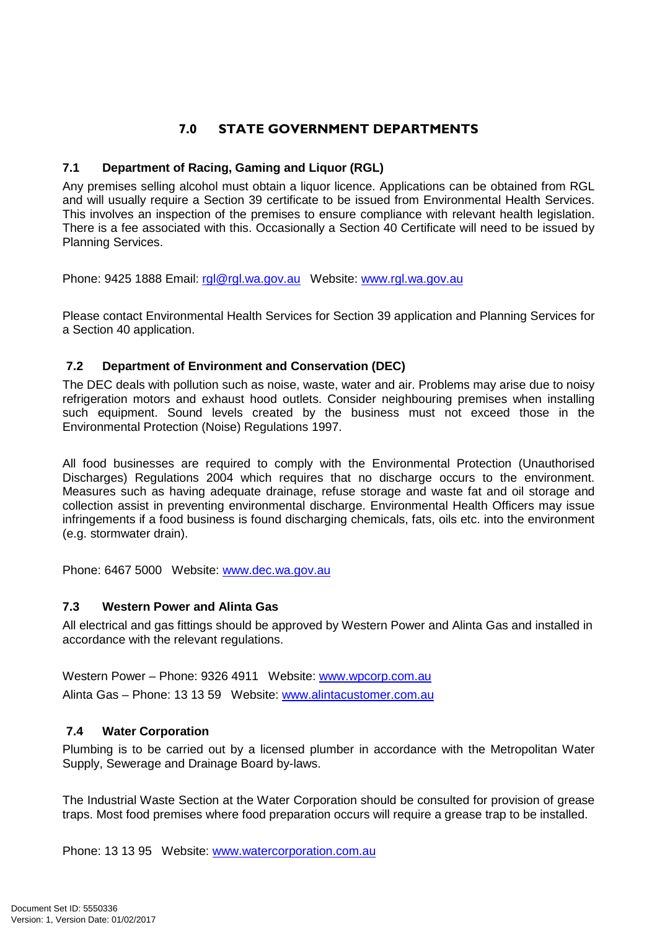## 7.0 STATE GOVERNMENT DEPARTMENTS

### **7.1 Department of Racing, Gaming and Liquor (RGL)**

Any premises selling alcohol must obtain a liquor licence. Applications can be obtained from RGL and will usually require a Section 39 certificate to be issued from Environmental Health Services. This involves an inspection of the premises to ensure compliance with relevant health legislation. There is a fee associated with this. Occasionally a Section 40 Certificate will need to be issued by Planning Services.

Phone: 9425 1888 Email: rgl@rgl.wa.gov.au Website: www.rgl.wa.gov.au

Please contact Environmental Health Services for Section 39 application and Planning Services for a Section 40 application.

### **7.2 Department of Environment and Conservation (DEC)**

The DEC deals with pollution such as noise, waste, water and air. Problems may arise due to noisy refrigeration motors and exhaust hood outlets. Consider neighbouring premises when installing such equipment. Sound levels created by the business must not exceed those in the Environmental Protection (Noise) Regulations 1997.

All food businesses are required to comply with the Environmental Protection (Unauthorised Discharges) Regulations 2004 which requires that no discharge occurs to the environment. Measures such as having adequate drainage, refuse storage and waste fat and oil storage and collection assist in preventing environmental discharge. Environmental Health Officers may issue infringements if a food business is found discharging chemicals, fats, oils etc. into the environment (e.g. stormwater drain).

Phone: 6467 5000 Website: www.dec.wa.gov.au

### **7.3 Western Power and Alinta Gas**

All electrical and gas fittings should be approved by Western Power and Alinta Gas and installed in accordance with the relevant regulations.

Western Power – Phone: 9326 4911 Website: www.wpcorp.com.au Alinta Gas – Phone: 13 13 59 Website: www.alintacustomer.com.au

### **7.4 Water Corporation**

Plumbing is to be carried out by a licensed plumber in accordance with the Metropolitan Water Supply, Sewerage and Drainage Board by-laws.

The Industrial Waste Section at the Water Corporation should be consulted for provision of grease traps. Most food premises where food preparation occurs will require a grease trap to be installed.

Phone: 13 13 95 Website: www.watercorporation.com.au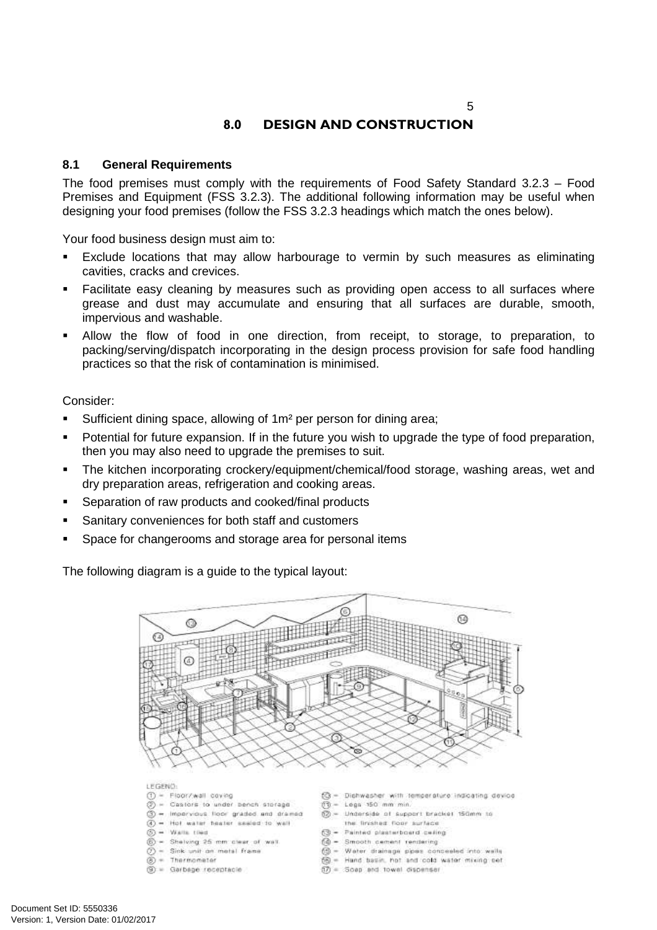### $\sim$  5

## 8.0 DESIGN AND CONSTRUCTION

### **8.1 General Requirements**

The food premises must comply with the requirements of Food Safety Standard 3.2.3 – Food Premises and Equipment (FSS 3.2.3). The additional following information may be useful when designing your food premises (follow the FSS 3.2.3 headings which match the ones below).

Your food business design must aim to:

- Exclude locations that may allow harbourage to vermin by such measures as eliminating cavities, cracks and crevices.
- Facilitate easy cleaning by measures such as providing open access to all surfaces where grease and dust may accumulate and ensuring that all surfaces are durable, smooth, impervious and washable.
- Allow the flow of food in one direction, from receipt, to storage, to preparation, to packing/serving/dispatch incorporating in the design process provision for safe food handling practices so that the risk of contamination is minimised.

Consider:

- **Sufficient dining space, allowing of 1m<sup>2</sup> per person for dining area;**
- Potential for future expansion. If in the future you wish to upgrade the type of food preparation, then you may also need to upgrade the premises to suit.
- The kitchen incorporating crockery/equipment/chemical/food storage, washing areas, wet and dry preparation areas, refrigeration and cooking areas.
- Separation of raw products and cooked/final products
- Sanitary conveniences for both staff and customers
- Space for changerooms and storage area for personal items

The following diagram is a guide to the typical layout:



LEGEND:

- $$
- = Castors to under bench storage
- 3 = Impervious floor graded and dramed  $\overline{A}$ ) = Hot water heater sealed to wall
- $(5) =$  Watts then
- Shelving 25 mm clear of wall
- $(7)$  = Sink unit on metal frame
- $(8)$  = Thermometer
- $\circledS$  = Garbage receptacle.
- (C) = Dishwasher with temperature indicating device
- $O = Lega$  150 mm min.
- $@ =$  Underside of support bracket 150mm to
- the finished floor surface 53 - Painted plasterboard celing
- @ = Smooth cement rendering
- @ = Water drainsge pipes conceeled into wells
- (6) = Hand basin, hot and cold water mixing set
- $f(\overline{f}) = f(\overline{f})$  and fowel dispenser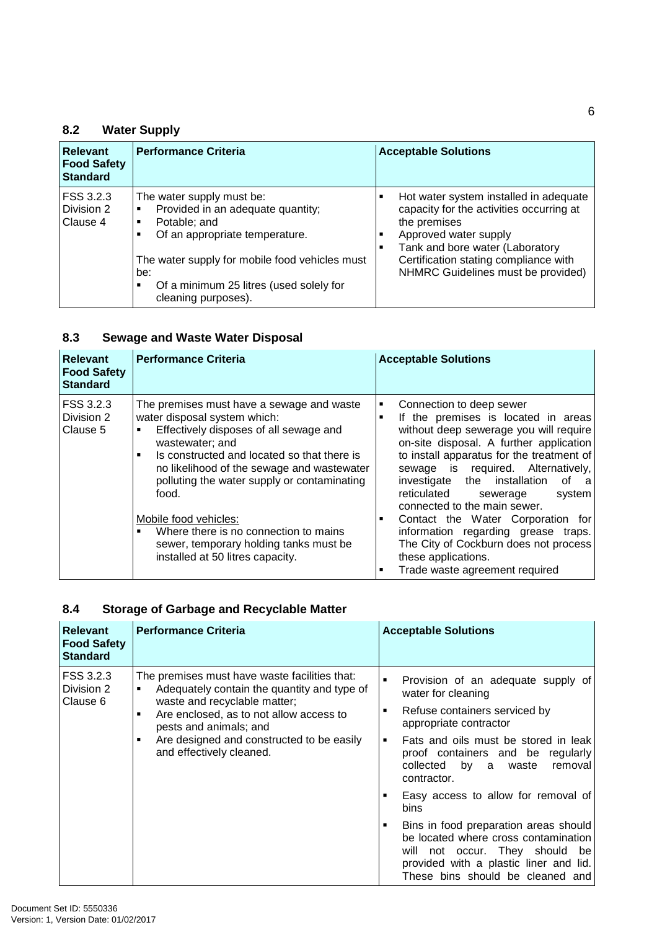## **8.2 Water Supply**

| <b>Relevant</b><br><b>Food Safety</b><br><b>Standard</b> | <b>Performance Criteria</b>                                                                                                                                                                                                                           | <b>Acceptable Solutions</b>                                                                                                                                                                                                                   |
|----------------------------------------------------------|-------------------------------------------------------------------------------------------------------------------------------------------------------------------------------------------------------------------------------------------------------|-----------------------------------------------------------------------------------------------------------------------------------------------------------------------------------------------------------------------------------------------|
| FSS 3.2.3<br>Division 2<br>Clause 4                      | The water supply must be:<br>Provided in an adequate quantity;<br>٠<br>Potable; and<br>٠<br>Of an appropriate temperature.<br>The water supply for mobile food vehicles must<br>be:<br>Of a minimum 25 litres (used solely for<br>cleaning purposes). | Hot water system installed in adequate<br>capacity for the activities occurring at<br>the premises<br>Approved water supply<br>Tank and bore water (Laboratory<br>Certification stating compliance with<br>NHMRC Guidelines must be provided) |

## **8.3 Sewage and Waste Water Disposal**

| <b>Relevant</b><br><b>Food Safety</b><br><b>Standard</b> | <b>Performance Criteria</b>                                                                                                                                                                                                                                                                                                                                                                                                                 | <b>Acceptable Solutions</b>                                                                                                                                                                                                                                                                                                                                                                                                                                                                                                               |
|----------------------------------------------------------|---------------------------------------------------------------------------------------------------------------------------------------------------------------------------------------------------------------------------------------------------------------------------------------------------------------------------------------------------------------------------------------------------------------------------------------------|-------------------------------------------------------------------------------------------------------------------------------------------------------------------------------------------------------------------------------------------------------------------------------------------------------------------------------------------------------------------------------------------------------------------------------------------------------------------------------------------------------------------------------------------|
| FSS 3.2.3<br>Division 2<br>Clause 5                      | The premises must have a sewage and waste<br>water disposal system which:<br>Effectively disposes of all sewage and<br>wastewater; and<br>Is constructed and located so that there is<br>no likelihood of the sewage and wastewater<br>polluting the water supply or contaminating<br>food.<br>Mobile food vehicles:<br>Where there is no connection to mains<br>sewer, temporary holding tanks must be<br>installed at 50 litres capacity. | Connection to deep sewer<br>٠<br>If the premises is located in areas<br>without deep sewerage you will require<br>on-site disposal. A further application<br>to install apparatus for the treatment of<br>sewage is required. Alternatively,<br>investigate the installation of a<br>reticulated<br>system<br>sewerage<br>connected to the main sewer.<br>Contact the Water Corporation for<br>٠<br>information regarding grease traps.<br>The City of Cockburn does not process<br>these applications.<br>Trade waste agreement required |

### **8.4 Storage of Garbage and Recyclable Matter**

| <b>Relevant</b><br><b>Food Safety</b><br><b>Standard</b> | <b>Performance Criteria</b>                                                                                                                                                                                                                                                          | <b>Acceptable Solutions</b>                                                                                                                                                                                                                                                                                                                                                                                                                                                                                                                                |
|----------------------------------------------------------|--------------------------------------------------------------------------------------------------------------------------------------------------------------------------------------------------------------------------------------------------------------------------------------|------------------------------------------------------------------------------------------------------------------------------------------------------------------------------------------------------------------------------------------------------------------------------------------------------------------------------------------------------------------------------------------------------------------------------------------------------------------------------------------------------------------------------------------------------------|
| FSS 3.2.3<br>Division 2<br>Clause 6                      | The premises must have waste facilities that:<br>Adequately contain the quantity and type of<br>waste and recyclable matter;<br>Are enclosed, as to not allow access to<br>٠<br>pests and animals; and<br>Are designed and constructed to be easily<br>٠<br>and effectively cleaned. | Provision of an adequate supply of<br>$\blacksquare$<br>water for cleaning<br>Refuse containers serviced by<br>٠<br>appropriate contractor<br>Fats and oils must be stored in leak<br>٠<br>proof containers and be regularly<br>removal<br>collected by a waste<br>contractor.<br>Easy access to allow for removal of<br><b>bins</b><br>Bins in food preparation areas should<br>$\blacksquare$<br>be located where cross contamination<br>will not occur. They should<br>be<br>provided with a plastic liner and lid.<br>These bins should be cleaned and |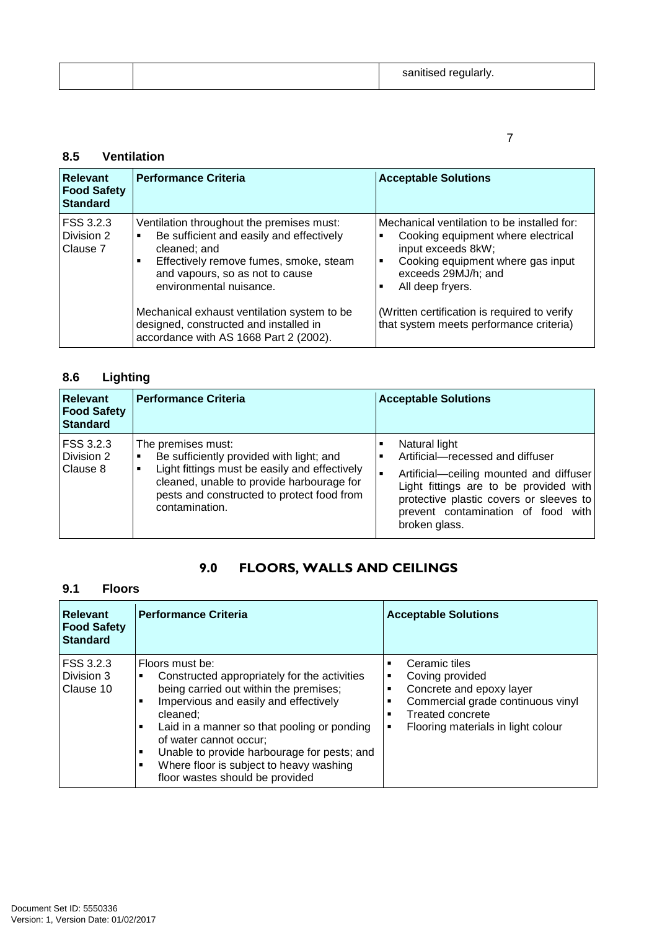| sanitised regularly.<br>$\sim$ |  |
|--------------------------------|--|
|--------------------------------|--|

### 7

### **8.5 Ventilation**

| Relevant<br><b>Food Safety</b><br><b>Standard</b> | <b>Performance Criteria</b>                                                                                                                                                                                                                                                                            | <b>Acceptable Solutions</b>                                                                                                                                                                                                                                                             |
|---------------------------------------------------|--------------------------------------------------------------------------------------------------------------------------------------------------------------------------------------------------------------------------------------------------------------------------------------------------------|-----------------------------------------------------------------------------------------------------------------------------------------------------------------------------------------------------------------------------------------------------------------------------------------|
| l FSS 3.2.3<br>Division 2<br>l Clause 7           | Ventilation throughout the premises must:<br>Be sufficient and easily and effectively<br>cleaned; and<br>Effectively remove fumes, smoke, steam<br>and vapours, so as not to cause<br>environmental nuisance.<br>Mechanical exhaust ventilation system to be<br>designed, constructed and installed in | Mechanical ventilation to be installed for:<br>Cooking equipment where electrical<br>input exceeds 8kW;<br>Cooking equipment where gas input<br>٠<br>exceeds 29MJ/h; and<br>All deep fryers.<br>(Written certification is required to verify<br>that system meets performance criteria) |

## **8.6 Lighting**

| <b>Relevant</b><br><b>Food Safety</b><br><b>Standard</b> | <b>Performance Criteria</b>                                                                                                                                                                                                  | <b>Acceptable Solutions</b>                                                                                                                                                                                                              |
|----------------------------------------------------------|------------------------------------------------------------------------------------------------------------------------------------------------------------------------------------------------------------------------------|------------------------------------------------------------------------------------------------------------------------------------------------------------------------------------------------------------------------------------------|
| FSS 3.2.3<br>Division 2<br>Clause 8                      | The premises must:<br>Be sufficiently provided with light; and<br>Light fittings must be easily and effectively<br>cleaned, unable to provide harbourage for<br>pests and constructed to protect food from<br>contamination. | Natural light<br>Artificial-recessed and diffuser<br>Artificial-ceiling mounted and diffuser<br>Light fittings are to be provided with<br>protective plastic covers or sleeves to<br>prevent contamination of food with<br>broken glass. |

## 9.0 FLOORS, WALLS AND CEILINGS

## **9.1 Floors**

| <b>Relevant</b><br><b>Food Safety</b><br><b>Standard</b> | <b>Performance Criteria</b>                                                                                                                                                                                                                                                                                                                                                                   | <b>Acceptable Solutions</b>                                                                                                                                                                                   |
|----------------------------------------------------------|-----------------------------------------------------------------------------------------------------------------------------------------------------------------------------------------------------------------------------------------------------------------------------------------------------------------------------------------------------------------------------------------------|---------------------------------------------------------------------------------------------------------------------------------------------------------------------------------------------------------------|
| FSS 3.2.3<br>Division 3<br>Clause 10                     | Floors must be:<br>Constructed appropriately for the activities<br>٠<br>being carried out within the premises;<br>Impervious and easily and effectively<br>п<br>cleaned:<br>Laid in a manner so that pooling or ponding<br>٠<br>of water cannot occur;<br>Unable to provide harbourage for pests; and<br>٠<br>Where floor is subject to heavy washing<br>٠<br>floor wastes should be provided | Ceramic tiles<br>٠<br>Coving provided<br>٠<br>Concrete and epoxy layer<br>٠<br>Commercial grade continuous vinyl<br>п<br><b>Treated concrete</b><br>٠<br>Flooring materials in light colour<br>$\blacksquare$ |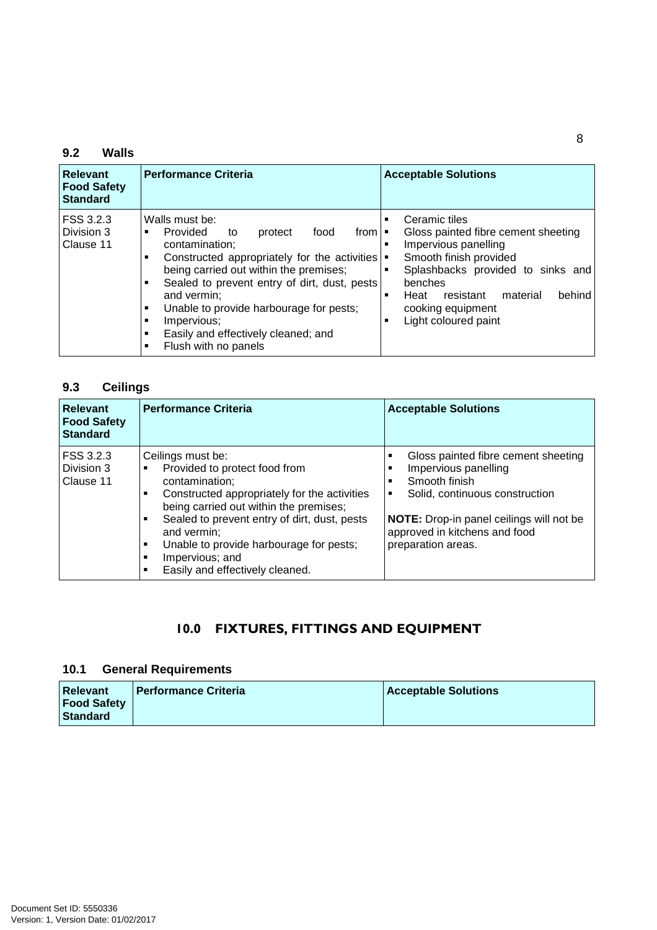### **9.2 Walls**

| Relevant<br><b>Food Safety</b><br><b>Standard</b> | <b>Performance Criteria</b>                                                                                                                                                                                                                                                                                                                                                                                                  | <b>Acceptable Solutions</b>                                                                                                                                                                                                                                                          |
|---------------------------------------------------|------------------------------------------------------------------------------------------------------------------------------------------------------------------------------------------------------------------------------------------------------------------------------------------------------------------------------------------------------------------------------------------------------------------------------|--------------------------------------------------------------------------------------------------------------------------------------------------------------------------------------------------------------------------------------------------------------------------------------|
| FSS 3.2.3<br>Division 3<br>Clause 11              | Walls must be:<br><b>Provided</b><br>food<br>protect<br>from $\blacksquare$<br>to<br>п<br>contamination:<br>Constructed appropriately for the activities   .<br>٠<br>being carried out within the premises;<br>Sealed to prevent entry of dirt, dust, pests<br>٠<br>and vermin:<br>Unable to provide harbourage for pests;<br>٠<br>Impervious;<br>٠<br>Easily and effectively cleaned; and<br>٠<br>Flush with no panels<br>٠ | Ceramic tiles<br>п<br>Gloss painted fibre cement sheeting<br>Impervious panelling<br>п<br>Smooth finish provided<br>Splashbacks provided to sinks and<br>$\blacksquare$<br>benches<br>behind<br>Heat<br>material<br>resistant<br>п<br>cooking equipment<br>Light coloured paint<br>г |

## **9.3 Ceilings**

| <b>Relevant</b><br><b>Food Safety</b><br><b>Standard</b> | <b>Performance Criteria</b>                                                                                                                                                                                                                                                                                                    | <b>Acceptable Solutions</b>                                                                                                                                                                                            |
|----------------------------------------------------------|--------------------------------------------------------------------------------------------------------------------------------------------------------------------------------------------------------------------------------------------------------------------------------------------------------------------------------|------------------------------------------------------------------------------------------------------------------------------------------------------------------------------------------------------------------------|
| FSS 3.2.3<br>Division 3<br>Clause 11                     | Ceilings must be:<br>Provided to protect food from<br>contamination;<br>Constructed appropriately for the activities<br>being carried out within the premises;<br>Sealed to prevent entry of dirt, dust, pests<br>and vermin:<br>Unable to provide harbourage for pests;<br>Impervious; and<br>Easily and effectively cleaned. | Gloss painted fibre cement sheeting<br>Impervious panelling<br>Smooth finish<br>Solid, continuous construction<br>٠<br>NOTE: Drop-in panel ceilings will not be<br>approved in kitchens and food<br>preparation areas. |

## 10.0 FIXTURES, FITTINGS AND EQUIPMENT

### **10.1 General Requirements**

| <b>Relevant</b>    | l Performance Criteria | <b>Acceptable Solutions</b> |
|--------------------|------------------------|-----------------------------|
| <b>Food Safety</b> |                        |                             |
| l Standard         |                        |                             |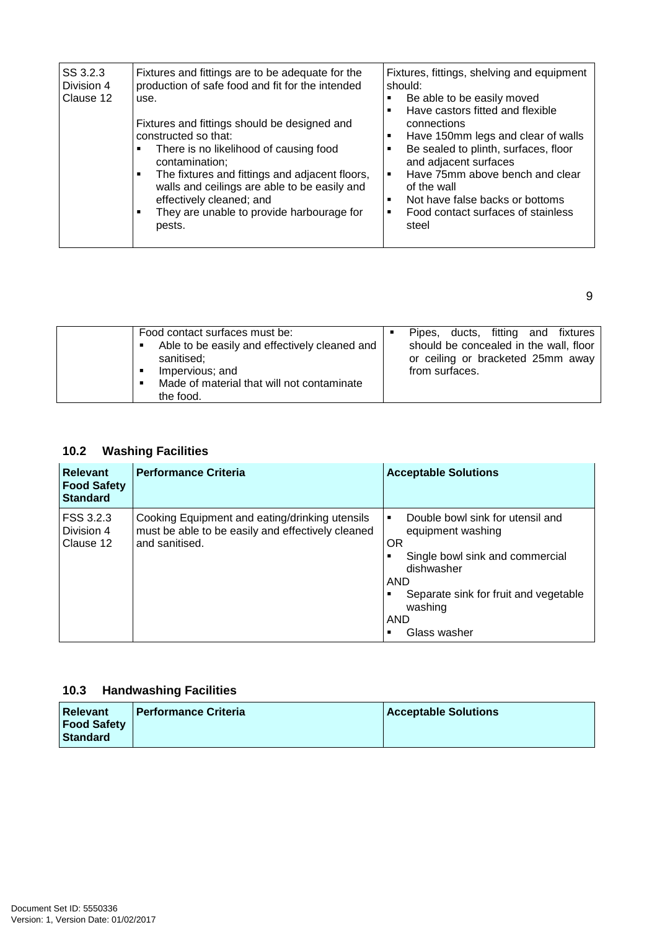| SS 3.2.3<br>Division 4<br>Clause 12 | Fixtures and fittings are to be adequate for the<br>production of safe food and fit for the intended<br>use.<br>Fixtures and fittings should be designed and<br>constructed so that:<br>There is no likelihood of causing food<br>٠<br>contamination:<br>The fixtures and fittings and adjacent floors,<br>٠<br>walls and ceilings are able to be easily and<br>effectively cleaned; and<br>They are unable to provide harbourage for<br>٠<br>pests. | Fixtures, fittings, shelving and equipment<br>should:<br>Be able to be easily moved<br>Have castors fitted and flexible<br>п<br>connections<br>Have 150mm legs and clear of walls<br>٠<br>Be sealed to plinth, surfaces, floor<br>п<br>and adjacent surfaces<br>Have 75mm above bench and clear<br>٠<br>of the wall<br>Not have false backs or bottoms<br>٠<br>Food contact surfaces of stainless<br>٠<br>steel |
|-------------------------------------|------------------------------------------------------------------------------------------------------------------------------------------------------------------------------------------------------------------------------------------------------------------------------------------------------------------------------------------------------------------------------------------------------------------------------------------------------|-----------------------------------------------------------------------------------------------------------------------------------------------------------------------------------------------------------------------------------------------------------------------------------------------------------------------------------------------------------------------------------------------------------------|
|-------------------------------------|------------------------------------------------------------------------------------------------------------------------------------------------------------------------------------------------------------------------------------------------------------------------------------------------------------------------------------------------------------------------------------------------------------------------------------------------------|-----------------------------------------------------------------------------------------------------------------------------------------------------------------------------------------------------------------------------------------------------------------------------------------------------------------------------------------------------------------------------------------------------------------|

9

| Food contact surfaces must be:<br>Able to be easily and effectively cleaned and<br>sanitised;<br>Impervious; and<br>п<br>Made of material that will not contaminate<br>п<br>the food. |  | ducts, fitting and fixtures<br>Pipes.<br>should be concealed in the wall, floor<br>or ceiling or bracketed 25mm away<br>from surfaces. |
|---------------------------------------------------------------------------------------------------------------------------------------------------------------------------------------|--|----------------------------------------------------------------------------------------------------------------------------------------|
|---------------------------------------------------------------------------------------------------------------------------------------------------------------------------------------|--|----------------------------------------------------------------------------------------------------------------------------------------|

## **10.2 Washing Facilities**

| <b>Relevant</b><br><b>Food Safety</b><br><b>Standard</b> | <b>Performance Criteria</b>                                                                                           | <b>Acceptable Solutions</b>                                                                                                                                                                                |
|----------------------------------------------------------|-----------------------------------------------------------------------------------------------------------------------|------------------------------------------------------------------------------------------------------------------------------------------------------------------------------------------------------------|
| FSS 3.2.3<br>Division 4<br>Clause 12                     | Cooking Equipment and eating/drinking utensils<br>must be able to be easily and effectively cleaned<br>and sanitised. | Double bowl sink for utensil and<br>٠<br>equipment washing<br><b>OR</b><br>Single bowl sink and commercial<br>dishwasher<br>AND<br>Separate sink for fruit and vegetable<br>washing<br>AND<br>Glass washer |

## **10.3 Handwashing Facilities**

| <b>Relevant</b><br><b>Food Safety</b> | I Performance Criteria | <b>Acceptable Solutions</b> |
|---------------------------------------|------------------------|-----------------------------|
| <b>Standard</b>                       |                        |                             |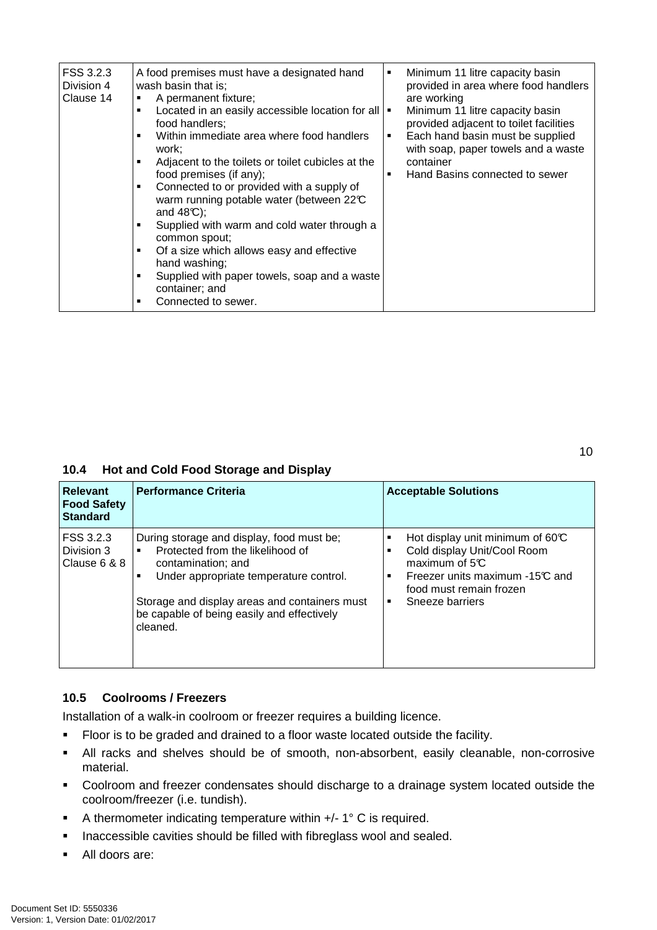| FSS 3.2.3<br>Division 4<br>Clause 14 | A food premises must have a designated hand<br>wash basin that is;<br>A permanent fixture;<br>٠<br>Located in an easily accessible location for all  <br>٠<br>food handlers:<br>Within immediate area where food handlers<br>٠<br>work:<br>Adjacent to the toilets or toilet cubicles at the<br>٠<br>food premises (if any);<br>Connected to or provided with a supply of<br>٠<br>warm running potable water (between 22°C<br>and $48C$ ;<br>Supplied with warm and cold water through a<br>٠<br>common spout;<br>Of a size which allows easy and effective<br>٠<br>hand washing;<br>Supplied with paper towels, soap and a waste<br>٠<br>container; and<br>Connected to sewer.<br>п | ٠<br>٠<br>٠ | Minimum 11 litre capacity basin<br>provided in area where food handlers<br>are working<br>Minimum 11 litre capacity basin<br>provided adjacent to toilet facilities<br>Each hand basin must be supplied<br>with soap, paper towels and a waste<br>container<br>Hand Basins connected to sewer |
|--------------------------------------|--------------------------------------------------------------------------------------------------------------------------------------------------------------------------------------------------------------------------------------------------------------------------------------------------------------------------------------------------------------------------------------------------------------------------------------------------------------------------------------------------------------------------------------------------------------------------------------------------------------------------------------------------------------------------------------|-------------|-----------------------------------------------------------------------------------------------------------------------------------------------------------------------------------------------------------------------------------------------------------------------------------------------|
|--------------------------------------|--------------------------------------------------------------------------------------------------------------------------------------------------------------------------------------------------------------------------------------------------------------------------------------------------------------------------------------------------------------------------------------------------------------------------------------------------------------------------------------------------------------------------------------------------------------------------------------------------------------------------------------------------------------------------------------|-------------|-----------------------------------------------------------------------------------------------------------------------------------------------------------------------------------------------------------------------------------------------------------------------------------------------|

### **10.4 Hot and Cold Food Storage and Display**

| Relevant<br><b>Food Safety</b><br><b>Standard</b> | <b>Performance Criteria</b>                                                                                                                                                                                                                              | <b>Acceptable Solutions</b>                                                                                                                                                    |
|---------------------------------------------------|----------------------------------------------------------------------------------------------------------------------------------------------------------------------------------------------------------------------------------------------------------|--------------------------------------------------------------------------------------------------------------------------------------------------------------------------------|
| l FSS 3.2.3<br>Division 3<br>l Clause 6 & 8 .     | During storage and display, food must be;<br>Protected from the likelihood of<br>contamination; and<br>Under appropriate temperature control.<br>Storage and display areas and containers must<br>be capable of being easily and effectively<br>cleaned. | Hot display unit minimum of $60C$<br>Cold display Unit/Cool Room<br>maximum of $5C$<br>Freezer units maximum -15°C and<br>٠<br>food must remain frozen<br>Sneeze barriers<br>٠ |

### **10.5 Coolrooms / Freezers**

Installation of a walk-in coolroom or freezer requires a building licence.

- Floor is to be graded and drained to a floor waste located outside the facility.
- All racks and shelves should be of smooth, non-absorbent, easily cleanable, non-corrosive material.
- Coolroom and freezer condensates should discharge to a drainage system located outside the coolroom/freezer (i.e. tundish).
- A thermometer indicating temperature within +/- 1° C is required.
- **Inaccessible cavities should be filled with fibreglass wool and sealed.**
- All doors are: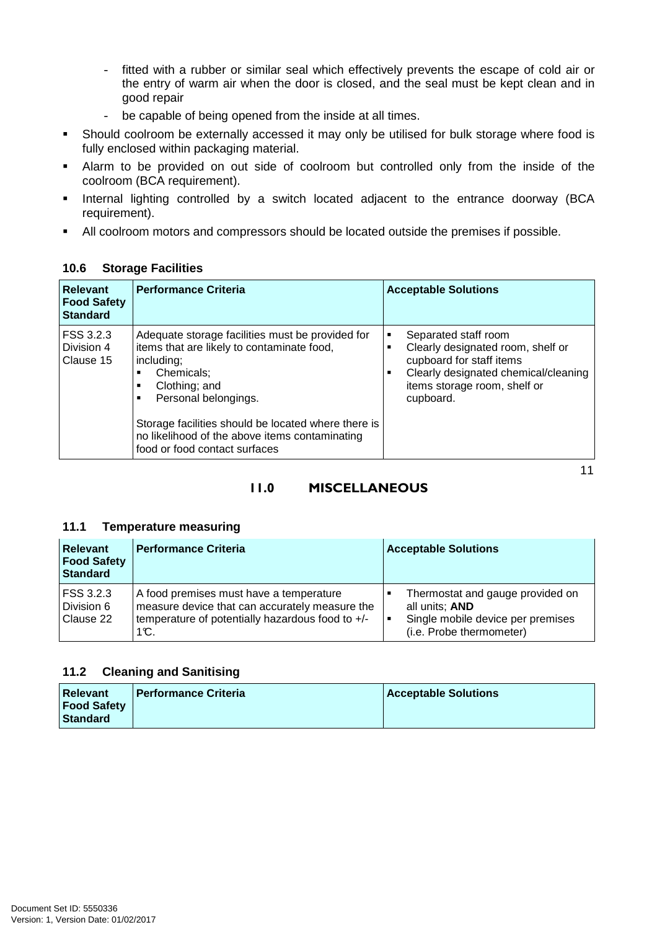- fitted with a rubber or similar seal which effectively prevents the escape of cold air or the entry of warm air when the door is closed, and the seal must be kept clean and in good repair
- be capable of being opened from the inside at all times.
- Should coolroom be externally accessed it may only be utilised for bulk storage where food is fully enclosed within packaging material.
- Alarm to be provided on out side of coolroom but controlled only from the inside of the coolroom (BCA requirement).
- **Internal lighting controlled by a switch located adjacent to the entrance doorway (BCA** requirement).
- All coolroom motors and compressors should be located outside the premises if possible.

| <b>Relevant</b><br><b>Food Safety</b><br><b>Standard</b> | <b>Performance Criteria</b>                                                                                                                                                                                                                                                                                   | <b>Acceptable Solutions</b>                                                                                                                                                          |
|----------------------------------------------------------|---------------------------------------------------------------------------------------------------------------------------------------------------------------------------------------------------------------------------------------------------------------------------------------------------------------|--------------------------------------------------------------------------------------------------------------------------------------------------------------------------------------|
| <b>FSS 3.2.3</b><br>Division 4<br>l Clause 15            | Adequate storage facilities must be provided for<br>items that are likely to contaminate food,<br>including;<br>Chemicals:<br>Clothing; and<br>Personal belongings.<br>Storage facilities should be located where there is<br>no likelihood of the above items contaminating<br>food or food contact surfaces | Separated staff room<br>٠<br>Clearly designated room, shelf or<br>٠<br>cupboard for staff items<br>Clearly designated chemical/cleaning<br>items storage room, shelf or<br>cupboard. |

### **10.6 Storage Facilities**

### $11$ 11.0 MISCELLANEOUS

### **11.1 Temperature measuring**

| <b>Relevant</b><br><b>Food Safety</b><br>Standard | <b>Performance Criteria</b>                                                                                                                           | <b>Acceptable Solutions</b>                                                                                         |
|---------------------------------------------------|-------------------------------------------------------------------------------------------------------------------------------------------------------|---------------------------------------------------------------------------------------------------------------------|
| FSS 3.2.3<br>Division 6<br>Clause 22              | A food premises must have a temperature<br>measure device that can accurately measure the<br>temperature of potentially hazardous food to +/-<br>1°C. | Thermostat and gauge provided on<br>all units; AND<br>Single mobile device per premises<br>(i.e. Probe thermometer) |

### **11.2 Cleaning and Sanitising**

| <b>Relevant</b>    | <b>Performance Criteria</b> | <b>Acceptable Solutions</b> |
|--------------------|-----------------------------|-----------------------------|
| <b>Food Safety</b> |                             |                             |
| l Standard         |                             |                             |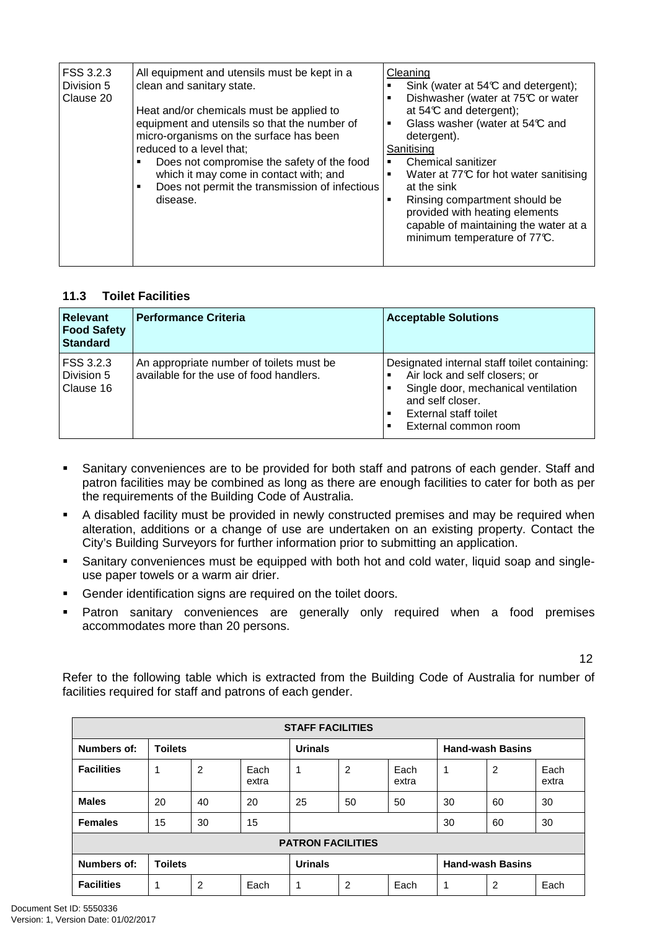| FSS 3.2.3<br>Division 5<br>Clause 20 | All equipment and utensils must be kept in a<br>clean and sanitary state.<br>Heat and/or chemicals must be applied to<br>equipment and utensils so that the number of<br>micro-organisms on the surface has been<br>reduced to a level that:<br>Does not compromise the safety of the food<br>which it may come in contact with; and<br>Does not permit the transmission of infectious<br>٠<br>disease. | Cleaning<br>Sink (water at $54\textdegree$ and detergent);<br>Dishwasher (water at 75°C or water<br>٠<br>at $54C$ and detergent);<br>Glass washer (water at 54°C and<br>٠<br>detergent).<br>Sanitising<br>Chemical sanitizer<br>Water at 77°C for hot water sanitising<br>٠<br>at the sink<br>Rinsing compartment should be<br>٠<br>provided with heating elements<br>capable of maintaining the water at a<br>minimum temperature of 77°C. |
|--------------------------------------|---------------------------------------------------------------------------------------------------------------------------------------------------------------------------------------------------------------------------------------------------------------------------------------------------------------------------------------------------------------------------------------------------------|---------------------------------------------------------------------------------------------------------------------------------------------------------------------------------------------------------------------------------------------------------------------------------------------------------------------------------------------------------------------------------------------------------------------------------------------|
|--------------------------------------|---------------------------------------------------------------------------------------------------------------------------------------------------------------------------------------------------------------------------------------------------------------------------------------------------------------------------------------------------------------------------------------------------------|---------------------------------------------------------------------------------------------------------------------------------------------------------------------------------------------------------------------------------------------------------------------------------------------------------------------------------------------------------------------------------------------------------------------------------------------|

### **11.3 Toilet Facilities**

| <b>Relevant</b><br><b>Food Safety</b><br><b>Standard</b> | <b>Performance Criteria</b>                                                         | <b>Acceptable Solutions</b>                                                                                                                                                               |
|----------------------------------------------------------|-------------------------------------------------------------------------------------|-------------------------------------------------------------------------------------------------------------------------------------------------------------------------------------------|
| FSS 3.2.3<br>Division 5<br>Clause 16                     | An appropriate number of toilets must be<br>available for the use of food handlers. | Designated internal staff toilet containing:<br>Air lock and self closers; or<br>Single door, mechanical ventilation<br>and self closer.<br>External staff toilet<br>External common room |

- **Sanitary conveniences are to be provided for both staff and patrons of each gender. Staff and** patron facilities may be combined as long as there are enough facilities to cater for both as per the requirements of the Building Code of Australia.
- A disabled facility must be provided in newly constructed premises and may be required when alteration, additions or a change of use are undertaken on an existing property. Contact the City's Building Surveyors for further information prior to submitting an application.
- Sanitary conveniences must be equipped with both hot and cold water, liquid soap and singleuse paper towels or a warm air drier.
- Gender identification signs are required on the toilet doors.
- **Patron sanitary conveniences are generally only required when a food premises** accommodates more than 20 persons.

12

Refer to the following table which is extracted from the Building Code of Australia for number of facilities required for staff and patrons of each gender.

| <b>STAFF FACILITIES</b> |                |                |               |                          |                |               |                         |                         |               |
|-------------------------|----------------|----------------|---------------|--------------------------|----------------|---------------|-------------------------|-------------------------|---------------|
| Numbers of:             | <b>Toilets</b> |                |               | <b>Urinals</b>           |                |               | <b>Hand-wash Basins</b> |                         |               |
| <b>Facilities</b>       |                | 2              | Each<br>extra | 1                        | $\overline{2}$ | Each<br>extra | 1                       | $\overline{2}$          | Each<br>extra |
| <b>Males</b>            | 20             | 40             | 20            | 25                       | 50             | 50            | 30                      | 60                      | 30            |
| <b>Females</b>          | 15             | 30             | 15            |                          |                |               | 30                      | 60                      | 30            |
|                         |                |                |               | <b>PATRON FACILITIES</b> |                |               |                         |                         |               |
| Numbers of:             | <b>Toilets</b> | <b>Urinals</b> |               |                          |                |               |                         | <b>Hand-wash Basins</b> |               |
| <b>Facilities</b>       | ×,             | 2              | Each          | 1                        | 2              | Each          | 1                       | $\overline{2}$          | Each          |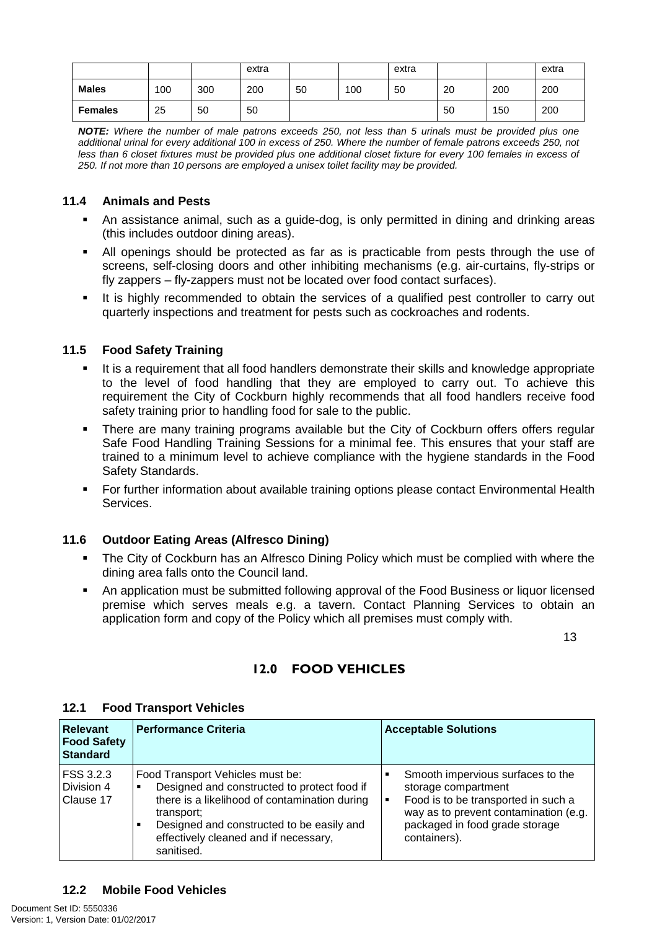|                |     |     | extra |    |     | extra |    |     | extra |
|----------------|-----|-----|-------|----|-----|-------|----|-----|-------|
| <b>Males</b>   | 100 | 300 | 200   | 50 | 100 | 50    | 20 | 200 | 200   |
| <b>Females</b> | 25  | 50  | 50    |    |     |       | 50 | 150 | 200   |

**NOTE:** Where the number of male patrons exceeds 250, not less than 5 urinals must be provided plus one additional urinal for every additional 100 in excess of 250. Where the number of female patrons exceeds 250, not less than 6 closet fixtures must be provided plus one additional closet fixture for every 100 females in excess of 250. If not more than 10 persons are employed a unisex toilet facility may be provided.

### **11.4 Animals and Pests**

- An assistance animal, such as a guide-dog, is only permitted in dining and drinking areas (this includes outdoor dining areas).
- All openings should be protected as far as is practicable from pests through the use of screens, self-closing doors and other inhibiting mechanisms (e.g. air-curtains, fly-strips or fly zappers – fly-zappers must not be located over food contact surfaces).
- It is highly recommended to obtain the services of a qualified pest controller to carry out quarterly inspections and treatment for pests such as cockroaches and rodents.

### **11.5 Food Safety Training**

- It is a requirement that all food handlers demonstrate their skills and knowledge appropriate to the level of food handling that they are employed to carry out. To achieve this requirement the City of Cockburn highly recommends that all food handlers receive food safety training prior to handling food for sale to the public.
- There are many training programs available but the City of Cockburn offers offers regular Safe Food Handling Training Sessions for a minimal fee. This ensures that your staff are trained to a minimum level to achieve compliance with the hygiene standards in the Food Safety Standards.
- **For further information about available training options please contact Environmental Health** Services.

### **11.6 Outdoor Eating Areas (Alfresco Dining)**

- The City of Cockburn has an Alfresco Dining Policy which must be complied with where the dining area falls onto the Council land.
- An application must be submitted following approval of the Food Business or liquor licensed premise which serves meals e.g. a tavern. Contact Planning Services to obtain an application form and copy of the Policy which all premises must comply with.

 $13$ 

### 12.0 FOOD VEHICLES

| <b>Relevant</b><br><b>Food Safety</b><br><b>Standard</b> | <b>Performance Criteria</b>                                                                                                                                                                                                                             | <b>Acceptable Solutions</b>                                                                                                                                                                                  |
|----------------------------------------------------------|---------------------------------------------------------------------------------------------------------------------------------------------------------------------------------------------------------------------------------------------------------|--------------------------------------------------------------------------------------------------------------------------------------------------------------------------------------------------------------|
| FSS 3.2.3<br>Division 4<br>Clause 17                     | Food Transport Vehicles must be:<br>Designed and constructed to protect food if<br>٠<br>there is a likelihood of contamination during<br>transport;<br>Designed and constructed to be easily and<br>effectively cleaned and if necessary,<br>sanitised. | Smooth impervious surfaces to the<br>storage compartment<br>Food is to be transported in such a<br>$\blacksquare$<br>way as to prevent contamination (e.g.<br>packaged in food grade storage<br>containers). |

### **12.1 Food Transport Vehicles**

### **12.2 Mobile Food Vehicles**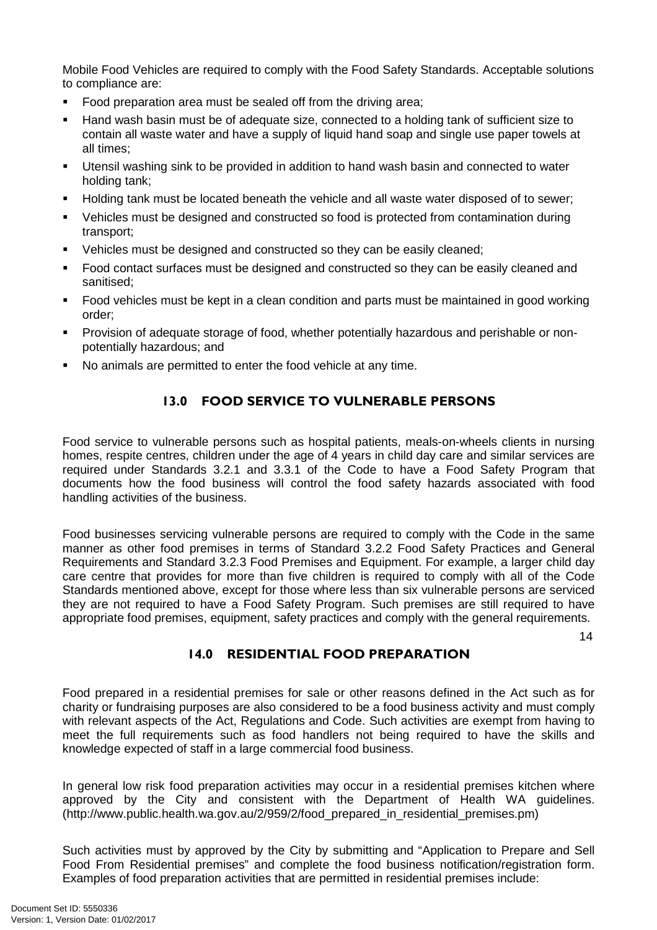Mobile Food Vehicles are required to comply with the Food Safety Standards. Acceptable solutions to compliance are:

- Food preparation area must be sealed off from the driving area;
- Hand wash basin must be of adequate size, connected to a holding tank of sufficient size to contain all waste water and have a supply of liquid hand soap and single use paper towels at all times;
- Utensil washing sink to be provided in addition to hand wash basin and connected to water holding tank;
- Holding tank must be located beneath the vehicle and all waste water disposed of to sewer;
- Vehicles must be designed and constructed so food is protected from contamination during transport;
- Vehicles must be designed and constructed so they can be easily cleaned;
- **Food contact surfaces must be designed and constructed so they can be easily cleaned and** sanitised;
- Food vehicles must be kept in a clean condition and parts must be maintained in good working order;
- Provision of adequate storage of food, whether potentially hazardous and perishable or nonpotentially hazardous; and
- No animals are permitted to enter the food vehicle at any time.

## 13.0 FOOD SERVICE TO VULNERABLE PERSONS

Food service to vulnerable persons such as hospital patients, meals-on-wheels clients in nursing homes, respite centres, children under the age of 4 years in child day care and similar services are required under Standards 3.2.1 and 3.3.1 of the Code to have a Food Safety Program that documents how the food business will control the food safety hazards associated with food handling activities of the business.

Food businesses servicing vulnerable persons are required to comply with the Code in the same manner as other food premises in terms of Standard 3.2.2 Food Safety Practices and General Requirements and Standard 3.2.3 Food Premises and Equipment. For example, a larger child day care centre that provides for more than five children is required to comply with all of the Code Standards mentioned above, except for those where less than six vulnerable persons are serviced they are not required to have a Food Safety Program. Such premises are still required to have appropriate food premises, equipment, safety practices and comply with the general requirements.

14

### 14.0 RESIDENTIAL FOOD PREPARATION

Food prepared in a residential premises for sale or other reasons defined in the Act such as for charity or fundraising purposes are also considered to be a food business activity and must comply with relevant aspects of the Act, Regulations and Code. Such activities are exempt from having to meet the full requirements such as food handlers not being required to have the skills and knowledge expected of staff in a large commercial food business.

In general low risk food preparation activities may occur in a residential premises kitchen where approved by the City and consistent with the Department of Health WA guidelines. (http://www.public.health.wa.gov.au/2/959/2/food\_prepared\_in\_residential\_premises.pm)

Such activities must by approved by the City by submitting and "Application to Prepare and Sell Food From Residential premises" and complete the food business notification/registration form. Examples of food preparation activities that are permitted in residential premises include: